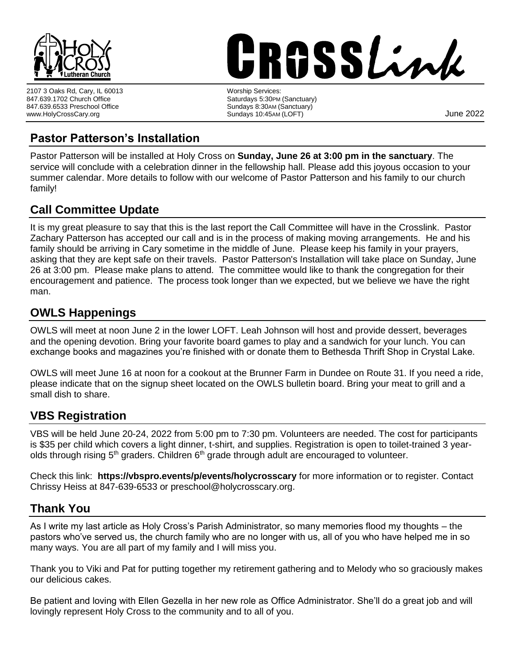

2107 3 Oaks Rd, Cary, IL 60013 847.639.1702 Church Office 847.639.6533 Preschool Office www.HolyCrossCary.org

# **RGSSLink** worship Services:<br>
Worship Services:

Saturdays 5:30PM (Sanctuary) Sundays 8:30AM (Sanctuary) Sundays 10:45AM (LOFT)  $\sim$  5 and 10:45AM (LOFT)  $\sim$  5 and 10:45AM (DET)  $\sim$  5 and 10:45AM (DET)  $\sim$  5 and 10:45AM (DET)  $\sim$  5 and 10:45AM (DET)  $\sim$  5 and 10:45AM (DET)  $\sim$  5 and 10:45AM (DET)  $\sim$  5 and 10:45AM (DET

## **Pastor Patterson's Installation**

Pastor Patterson will be installed at Holy Cross on **Sunday, June 26 at 3:00 pm in the sanctuary**. The service will conclude with a celebration dinner in the fellowship hall. Please add this joyous occasion to your summer calendar. More details to follow with our welcome of Pastor Patterson and his family to our church family!

## **Call Committee Update**

It is my great pleasure to say that this is the last report the Call Committee will have in the Crosslink. Pastor Zachary Patterson has accepted our call and is in the process of making moving arrangements. He and his family should be arriving in Cary sometime in the middle of June. Please keep his family in your prayers, asking that they are kept safe on their travels. Pastor Patterson's Installation will take place on Sunday, June 26 at 3:00 pm. Please make plans to attend. The committee would like to thank the congregation for their encouragement and patience. The process took longer than we expected, but we believe we have the right man.

## **OWLS Happenings**

OWLS will meet at noon June 2 in the lower LOFT. Leah Johnson will host and provide dessert, beverages and the opening devotion. Bring your favorite board games to play and a sandwich for your lunch. You can exchange books and magazines you're finished with or donate them to Bethesda Thrift Shop in Crystal Lake.

OWLS will meet June 16 at noon for a cookout at the Brunner Farm in Dundee on Route 31. If you need a ride, please indicate that on the signup sheet located on the OWLS bulletin board. Bring your meat to grill and a small dish to share.

## **VBS Registration**

VBS will be held June 20-24, 2022 from 5:00 pm to 7:30 pm. Volunteers are needed. The cost for participants is \$35 per child which covers a light dinner, t-shirt, and supplies. Registration is open to toilet-trained 3 yearolds through rising  $5<sup>th</sup>$  graders. Children  $6<sup>th</sup>$  grade through adult are encouraged to volunteer.

Check this link: **https://vbspro.events/p/events/holycrosscary** for more information or to register. Contact Chrissy Heiss at 847-639-6533 or preschool@holycrosscary.org.

## **Thank You**

As I write my last article as Holy Cross's Parish Administrator, so many memories flood my thoughts – the pastors who've served us, the church family who are no longer with us, all of you who have helped me in so many ways. You are all part of my family and I will miss you.

Thank you to Viki and Pat for putting together my retirement gathering and to Melody who so graciously makes our delicious cakes.

Be patient and loving with Ellen Gezella in her new role as Office Administrator. She'll do a great job and will lovingly represent Holy Cross to the community and to all of you.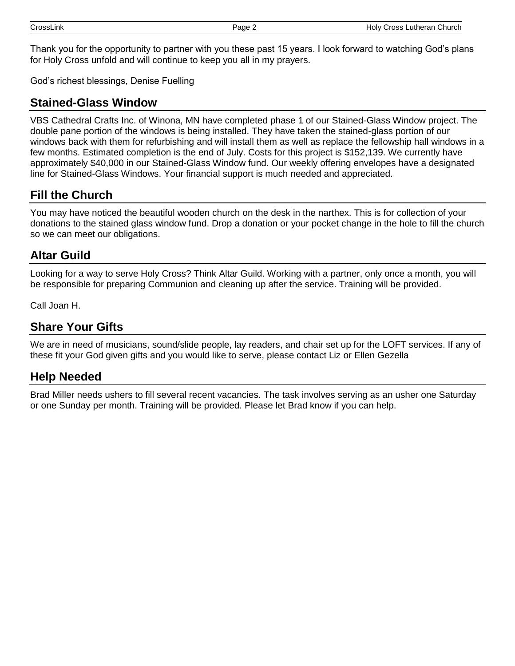Thank you for the opportunity to partner with you these past 15 years. I look forward to watching God's plans for Holy Cross unfold and will continue to keep you all in my prayers.

God's richest blessings, Denise Fuelling

#### **Stained-Glass Window**

VBS Cathedral Crafts Inc. of Winona, MN have completed phase 1 of our Stained-Glass Window project. The double pane portion of the windows is being installed. They have taken the stained-glass portion of our windows back with them for refurbishing and will install them as well as replace the fellowship hall windows in a few months. Estimated completion is the end of July. Costs for this project is \$152,139. We currently have approximately \$40,000 in our Stained-Glass Window fund. Our weekly offering envelopes have a designated line for Stained-Glass Windows. Your financial support is much needed and appreciated.

## **Fill the Church**

You may have noticed the beautiful wooden church on the desk in the narthex. This is for collection of your donations to the stained glass window fund. Drop a donation or your pocket change in the hole to fill the church so we can meet our obligations.

#### **Altar Guild**

Looking for a way to serve Holy Cross? Think Altar Guild. Working with a partner, only once a month, you will be responsible for preparing Communion and cleaning up after the service. Training will be provided.

Call Joan H.

#### **Share Your Gifts**

We are in need of musicians, sound/slide people, lay readers, and chair set up for the LOFT services. If any of these fit your God given gifts and you would like to serve, please contact Liz or Ellen Gezella

#### **Help Needed**

Brad Miller needs ushers to fill several recent vacancies. The task involves serving as an usher one Saturday or one Sunday per month. Training will be provided. Please let Brad know if you can help.